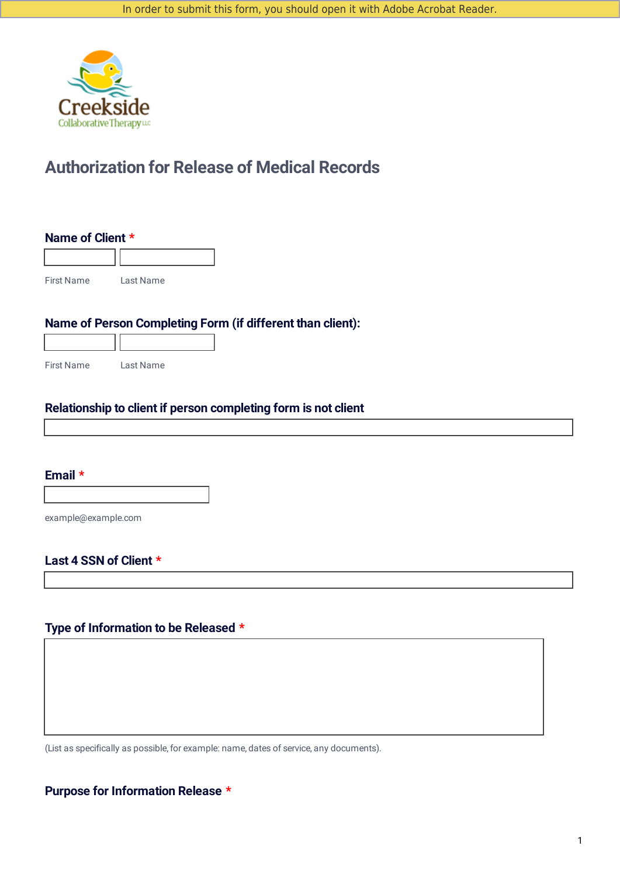

## **Authorization for Release of Medical Records**

#### **Name of Client \***

First Name Last Name

## **Name of Person Completing Form (if different than client):**

| <b>First Name</b> | Last Name |
|-------------------|-----------|

TГ

## **Relationship to client if person completing form is not client**

## **Email \***

Г

example@example.com

## **Last 4 SSN of Client \***

## **Type of Information to be Released \***

(List as specifically as possible, for example: name, dates of service, any documents).

## **Purpose for Information Release \***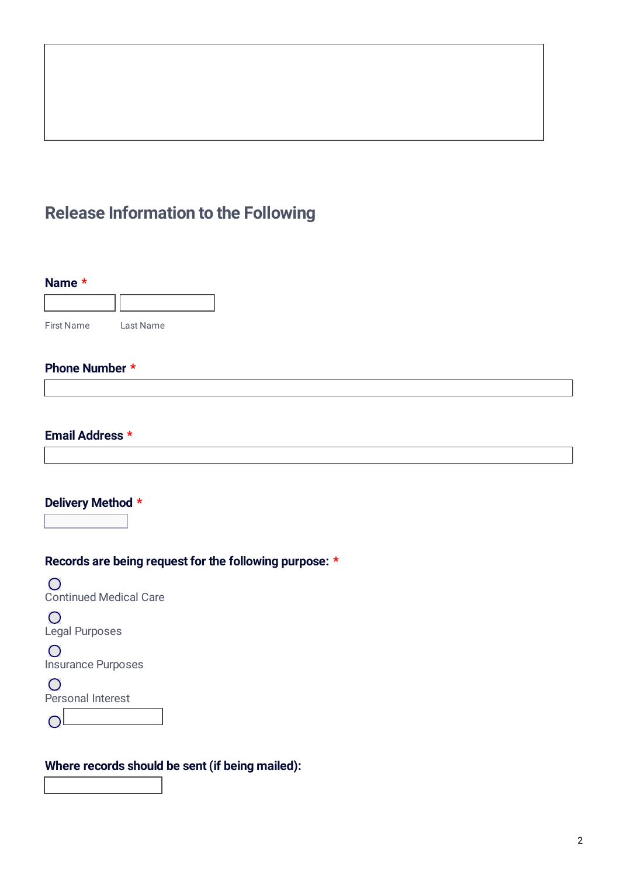# **Release Information to the Following**

| <b>First Name</b>                                                                                                                           | Last Name                                              |  |
|---------------------------------------------------------------------------------------------------------------------------------------------|--------------------------------------------------------|--|
| Phone Number *                                                                                                                              |                                                        |  |
|                                                                                                                                             |                                                        |  |
| Email Address *                                                                                                                             |                                                        |  |
|                                                                                                                                             |                                                        |  |
| $\overline{\mathbf{r}}$                                                                                                                     |                                                        |  |
| $\bigcap$                                                                                                                                   | Records are being request for the following purpose: * |  |
| $\bigcirc$                                                                                                                                  |                                                        |  |
| $\bigcirc$                                                                                                                                  |                                                        |  |
| Delivery Method *<br><b>Continued Medical Care</b><br><b>Legal Purposes</b><br><b>Insurance Purposes</b><br>$\bigcirc$<br>Personal Interest |                                                        |  |